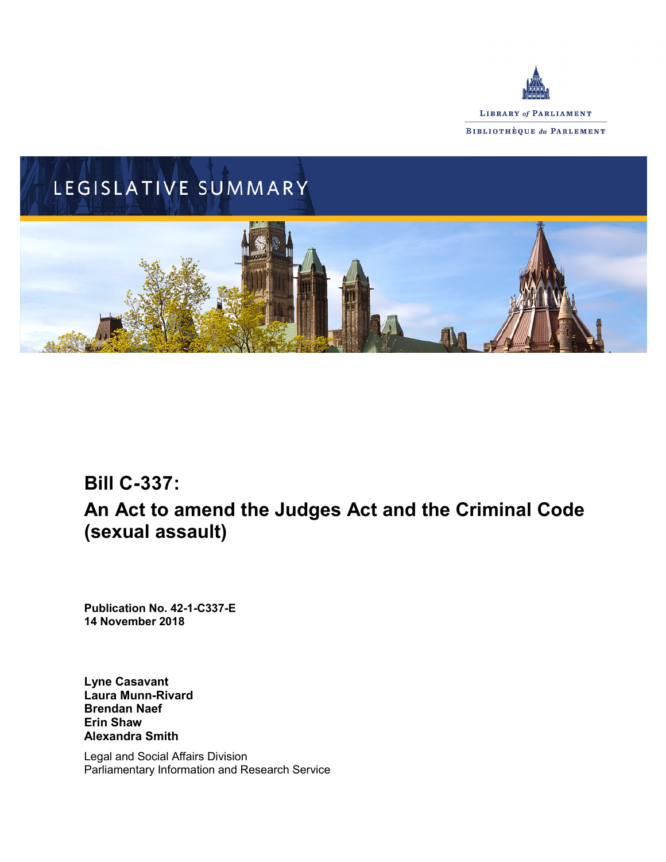



# **Bill C-337:**

# **An Act to amend the Judges Act and the Criminal Code (sexual assault)**

**Publication No. 42-1-C337-E 14 November 2018**

**Lyne Casavant Laura Munn-Rivard Brendan Naef Erin Shaw Alexandra Smith**

Legal and Social Affairs Division Parliamentary Information and Research Service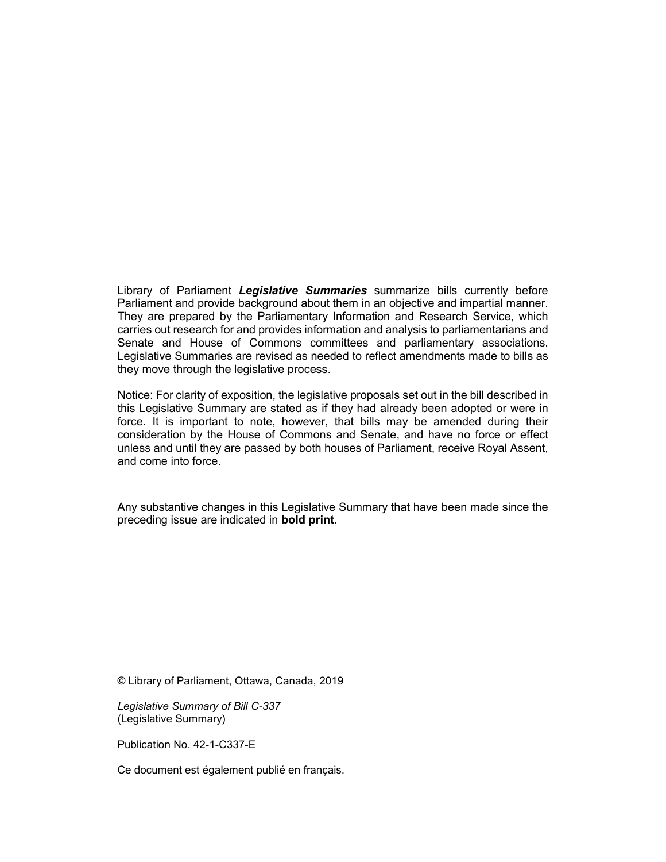Library of Parliament *Legislative Summaries* summarize bills currently before Parliament and provide background about them in an objective and impartial manner. They are prepared by the Parliamentary Information and Research Service, which carries out research for and provides information and analysis to parliamentarians and Senate and House of Commons committees and parliamentary associations. Legislative Summaries are revised as needed to reflect amendments made to bills as they move through the legislative process.

Notice: For clarity of exposition, the legislative proposals set out in the bill described in this Legislative Summary are stated as if they had already been adopted or were in force. It is important to note, however, that bills may be amended during their consideration by the House of Commons and Senate, and have no force or effect unless and until they are passed by both houses of Parliament, receive Royal Assent, and come into force.

Any substantive changes in this Legislative Summary that have been made since the preceding issue are indicated in **bold print**.

© Library of Parliament, Ottawa, Canada, 2019

*Legislative Summary of Bill C-337* (Legislative Summary)

Publication No. 42-1-C337-E

Ce document est également publié en français.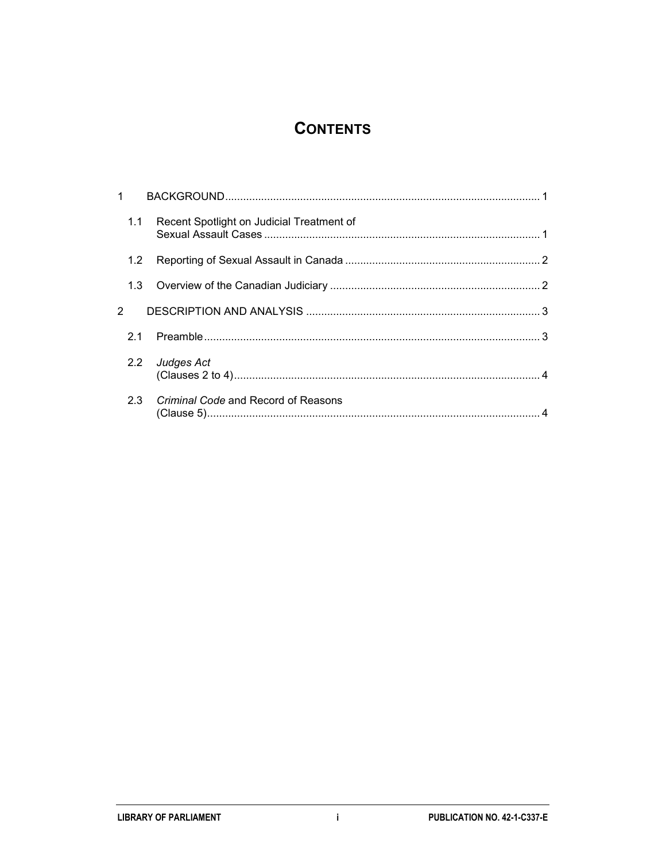## **CONTENTS**

| 1.1 | Recent Spotlight on Judicial Treatment of |  |
|-----|-------------------------------------------|--|
| 1.2 |                                           |  |
|     |                                           |  |
|     |                                           |  |
| 2.1 |                                           |  |
| 2.2 | Judges Act                                |  |
| 2.3 | Criminal Code and Record of Reasons       |  |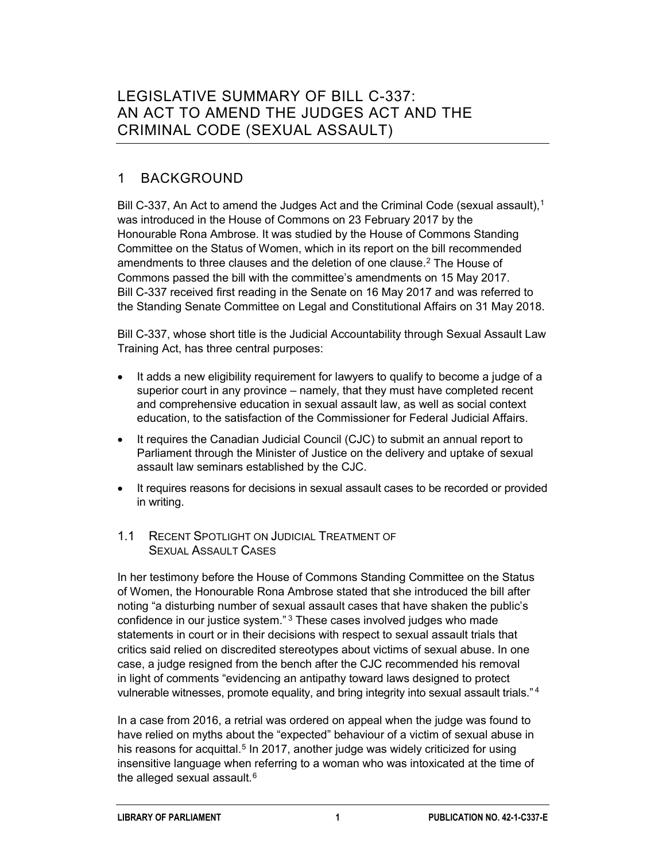## LEGISLATIVE SUMMARY OF BILL C-337: AN ACT TO AMEND THE JUDGES ACT AND THE CRIMINAL CODE (SEXUAL ASSAULT)

### 1 BACKGROUND

Bill C-337, An Act to amend the Judges Act and the Criminal Code (sexual assault),<sup>[1](#page-8-0)</sup> was introduced in the House of Commons on 23 February 2017 by the Honourable Rona Ambrose. It was studied by the House of Commons Standing Committee on the Status of Women, which in its report on the bill recommended amendments to three clauses and the deletion of one clause.<sup>[2](#page-8-1)</sup> The House of Commons passed the bill with the committee's amendments on 15 May 2017. Bill C-337 received first reading in the Senate on 16 May 2017 and was referred to the Standing Senate Committee on Legal and Constitutional Affairs on 31 May 2018.

Bill C-337, whose short title is the Judicial Accountability through Sexual Assault Law Training Act, has three central purposes:

- It adds a new eligibility requirement for lawyers to qualify to become a judge of a superior court in any province – namely, that they must have completed recent and comprehensive education in sexual assault law, as well as social context education, to the satisfaction of the Commissioner for Federal Judicial Affairs.
- It requires the Canadian Judicial Council (CJC) to submit an annual report to Parliament through the Minister of Justice on the delivery and uptake of sexual assault law seminars established by the CJC.
- It requires reasons for decisions in sexual assault cases to be recorded or provided in writing.

#### 1.1 RECENT SPOTLIGHT ON JUDICIAL TREATMENT OF SEXUAL ASSAULT CASES

In her testimony before the House of Commons Standing Committee on the Status of Women, the Honourable Rona Ambrose stated that she introduced the bill after noting "a disturbing number of sexual assault cases that have shaken the public's confidence in our justice system."<sup>[3](#page-8-2)</sup> These cases involved judges who made statements in court or in their decisions with respect to sexual assault trials that critics said relied on discredited stereotypes about victims of sexual abuse. In one case, a judge resigned from the bench after the CJC recommended his removal in light of comments "evidencing an antipathy toward laws designed to protect vulnerable witnesses, promote equality, and bring integrity into sexual assault trials." [4](#page-8-3)

In a case from 2016, a retrial was ordered on appeal when the judge was found to have relied on myths about the "expected" behaviour of a victim of sexual abuse in his reasons for acquittal.<sup>[5](#page-8-4)</sup> In 2017, another judge was widely criticized for using insensitive language when referring to a woman who was intoxicated at the time of the alleged sexual assault.<sup>[6](#page-8-5)</sup>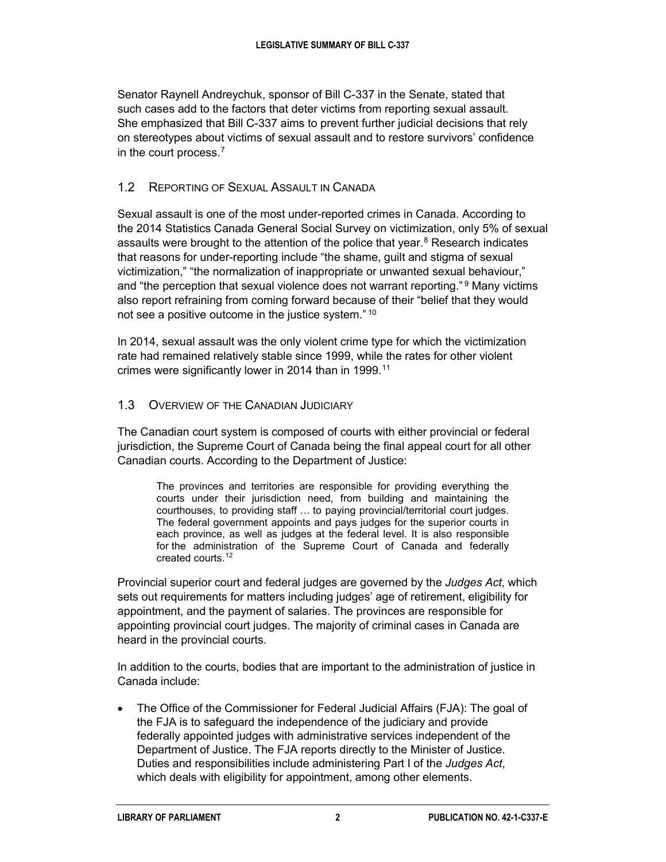Senator Raynell Andreychuk, sponsor of Bill C-337 in the Senate, stated that such cases add to the factors that deter victims from reporting sexual assault. She emphasized that Bill C-337 aims to prevent further judicial decisions that rely on stereotypes about victims of sexual assault and to restore survivors' confidence in the court process.<sup>[7](#page-8-6)</sup>

#### 1.2 REPORTING OF SEXUAL ASSAULT IN CANADA

Sexual assault is one of the most under-reported crimes in Canada. According to the 2014 Statistics Canada General Social Survey on victimization, only 5% of sexual assaults were brought to the attention of the police that year.<sup>[8](#page-8-7)</sup> Research indicates that reasons for under-reporting include "the shame, guilt and stigma of sexual victimization," "the normalization of inappropriate or unwanted sexual behaviour," and "the perception that sexual violence does not warrant reporting." [9](#page-8-8) Many victims also report refraining from coming forward because of their "belief that they would not see a positive outcome in the justice system." [10](#page-9-0)

In 2014, sexual assault was the only violent crime type for which the victimization rate had remained relatively stable since 1999, while the rates for other violent crimes were significantly lower in 2014 than in 1999.<sup>[11](#page-9-1)</sup>

#### 1.3 OVERVIEW OF THE CANADIAN JUDICIARY

The Canadian court system is composed of courts with either provincial or federal jurisdiction, the Supreme Court of Canada being the final appeal court for all other Canadian courts. According to the Department of Justice:

The provinces and territories are responsible for providing everything the courts under their jurisdiction need, from building and maintaining the courthouses, to providing staff … to paying provincial/territorial court judges. The federal government appoints and pays judges for the superior courts in each province, as well as judges at the federal level. It is also responsible for the administration of the Supreme Court of Canada and federally created courts.[12](#page-9-2)

Provincial superior court and federal judges are governed by the *Judges Act*, which sets out requirements for matters including judges' age of retirement, eligibility for appointment, and the payment of salaries. The provinces are responsible for appointing provincial court judges. The majority of criminal cases in Canada are heard in the provincial courts.

In addition to the courts, bodies that are important to the administration of justice in Canada include:

• The Office of the Commissioner for Federal Judicial Affairs (FJA): The goal of the FJA is to safeguard the independence of the judiciary and provide federally appointed judges with administrative services independent of the Department of Justice. The FJA reports directly to the Minister of Justice. Duties and responsibilities include administering Part I of the *Judges Act*, which deals with eligibility for appointment, among other elements.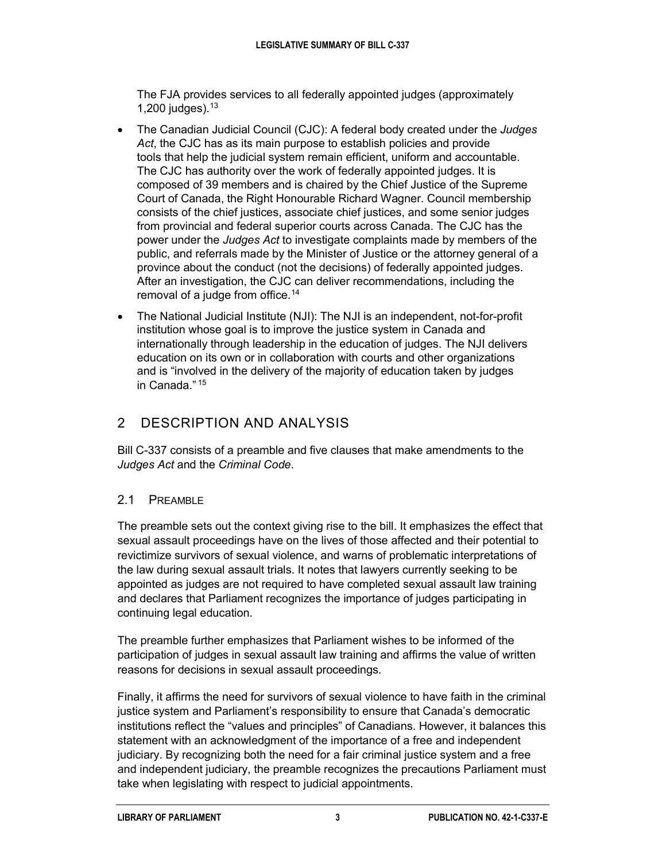The FJA provides services to all federally appointed judges (approximately 1,200 judges). $13$ 

- The Canadian Judicial Council (CJC): A federal body created under the *Judges Act*, the CJC has as its main purpose to establish policies and provide tools that help the judicial system remain efficient, uniform and accountable. The CJC has authority over the work of federally appointed judges. It is composed of 39 members and is chaired by the Chief Justice of the Supreme Court of Canada, the Right Honourable Richard Wagner. Council membership consists of the chief justices, associate chief justices, and some senior judges from provincial and federal superior courts across Canada. The CJC has the power under the *Judges Act* to investigate complaints made by members of the public, and referrals made by the Minister of Justice or the attorney general of a province about the conduct (not the decisions) of federally appointed judges. After an investigation, the CJC can deliver recommendations, including the removal of a judge from office.<sup>[14](#page-9-4)</sup>
- The National Judicial Institute (NJI): The NJI is an independent, not-for-profit institution whose goal is to improve the justice system in Canada and internationally through leadership in the education of judges. The NJI delivers education on its own or in collaboration with courts and other organizations and is "involved in the delivery of the majority of education taken by judges in Canada." [15](#page-9-5)

### 2 DESCRIPTION AND ANALYSIS

Bill C-337 consists of a preamble and five clauses that make amendments to the *Judges Act* and the *Criminal Code*.

#### 2.1 PREAMBLE

The preamble sets out the context giving rise to the bill. It emphasizes the effect that sexual assault proceedings have on the lives of those affected and their potential to revictimize survivors of sexual violence, and warns of problematic interpretations of the law during sexual assault trials. It notes that lawyers currently seeking to be appointed as judges are not required to have completed sexual assault law training and declares that Parliament recognizes the importance of judges participating in continuing legal education.

The preamble further emphasizes that Parliament wishes to be informed of the participation of judges in sexual assault law training and affirms the value of written reasons for decisions in sexual assault proceedings.

Finally, it affirms the need for survivors of sexual violence to have faith in the criminal justice system and Parliament's responsibility to ensure that Canada's democratic institutions reflect the "values and principles" of Canadians. However, it balances this statement with an acknowledgment of the importance of a free and independent judiciary. By recognizing both the need for a fair criminal justice system and a free and independent judiciary, the preamble recognizes the precautions Parliament must take when legislating with respect to judicial appointments.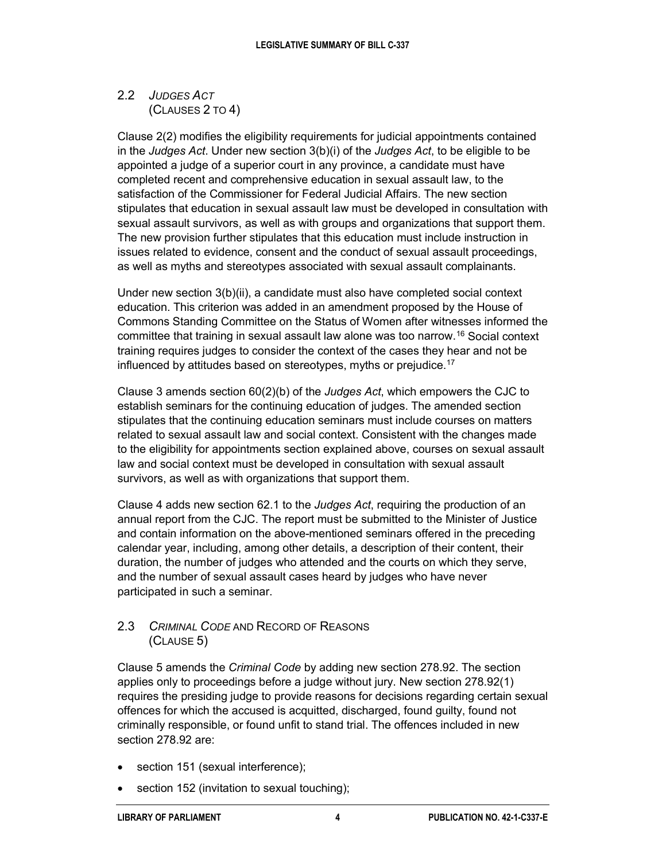#### 2.2 *JUDGES ACT* (CLAUSES 2 TO 4)

Clause 2(2) modifies the eligibility requirements for judicial appointments contained in the *Judges Act*. Under new section 3(b)(i) of the *Judges Act*, to be eligible to be appointed a judge of a superior court in any province, a candidate must have completed recent and comprehensive education in sexual assault law, to the satisfaction of the Commissioner for Federal Judicial Affairs. The new section stipulates that education in sexual assault law must be developed in consultation with sexual assault survivors, as well as with groups and organizations that support them. The new provision further stipulates that this education must include instruction in issues related to evidence, consent and the conduct of sexual assault proceedings, as well as myths and stereotypes associated with sexual assault complainants.

Under new section 3(b)(ii), a candidate must also have completed social context education. This criterion was added in an amendment proposed by the House of Commons Standing Committee on the Status of Women after witnesses informed the committee that training in sexual assault law alone was too narrow.[16](#page-9-6) Social context training requires judges to consider the context of the cases they hear and not be influenced by attitudes based on stereotypes, myths or prejudice.<sup>[17](#page-9-7)</sup>

Clause 3 amends section 60(2)(b) of the *Judges Act*, which empowers the CJC to establish seminars for the continuing education of judges. The amended section stipulates that the continuing education seminars must include courses on matters related to sexual assault law and social context. Consistent with the changes made to the eligibility for appointments section explained above, courses on sexual assault law and social context must be developed in consultation with sexual assault survivors, as well as with organizations that support them.

Clause 4 adds new section 62.1 to the *Judges Act*, requiring the production of an annual report from the CJC. The report must be submitted to the Minister of Justice and contain information on the above-mentioned seminars offered in the preceding calendar year, including, among other details, a description of their content, their duration, the number of judges who attended and the courts on which they serve, and the number of sexual assault cases heard by judges who have never participated in such a seminar.

#### 2.3 *CRIMINAL CODE* AND RECORD OF REASONS (CLAUSE 5)

Clause 5 amends the *Criminal Code* by adding new section 278.92. The section applies only to proceedings before a judge without jury. New section 278.92(1) requires the presiding judge to provide reasons for decisions regarding certain sexual offences for which the accused is acquitted, discharged, found guilty, found not criminally responsible, or found unfit to stand trial. The offences included in new section 278.92 are:

- section 151 (sexual interference);
- section 152 (invitation to sexual touching);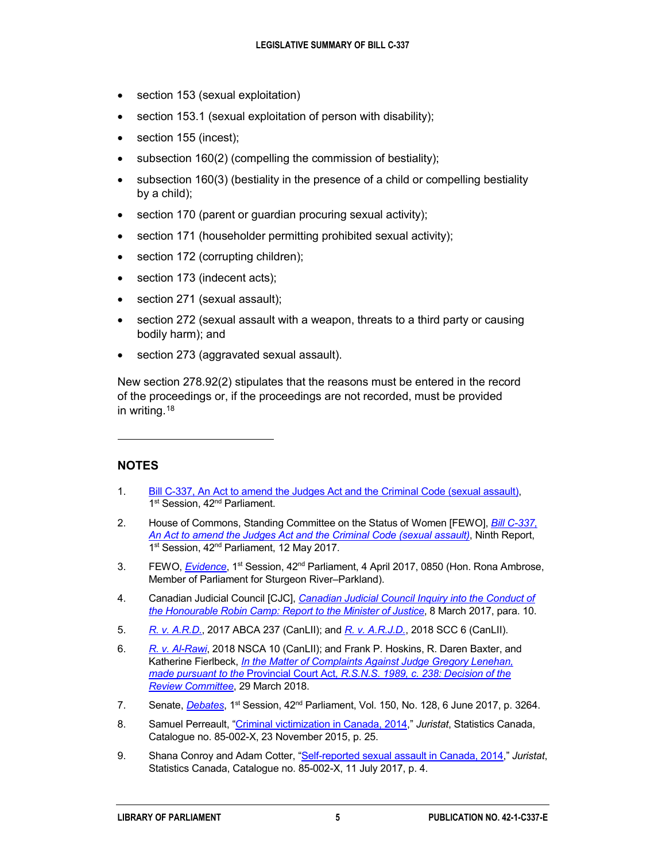- section 153 (sexual exploitation)
- section 153.1 (sexual exploitation of person with disability);
- section 155 (incest);
- subsection 160(2) (compelling the commission of bestiality);
- subsection 160(3) (bestiality in the presence of a child or compelling bestiality by a child);
- section 170 (parent or guardian procuring sexual activity);
- section 171 (householder permitting prohibited sexual activity);
- section 172 (corrupting children);
- section 173 (indecent acts);
- section 271 (sexual assault);
- section 272 (sexual assault with a weapon, threats to a third party or causing bodily harm); and
- section 273 (aggravated sexual assault).

New section 278.92(2) stipulates that the reasons must be entered in the record of the proceedings or, if the proceedings are not recorded, must be provided in writing.[18](#page-9-8)

#### **NOTES**

 $\ddot{ }$ 

- <span id="page-8-0"></span>1. [Bill C-337, An Act to amend the Judges Act and the Criminal Code \(sexual assault\),](https://www.parl.ca/DocumentViewer/en/42-1/bill/C-337/third-reading) 1<sup>st</sup> Session, 42<sup>nd</sup> Parliament.
- <span id="page-8-1"></span>2. House of Commons, Standing Committee on the Status of Women [FEWO], *[Bill C-337,](https://www.ourcommons.ca/DocumentViewer/en/42-1/FEWO/report-9/)  [An Act to amend the Judges Act and the Criminal Code \(sexual assault\)](https://www.ourcommons.ca/DocumentViewer/en/42-1/FEWO/report-9/)*, Ninth Report, 1<sup>st</sup> Session, 42<sup>nd</sup> Parliament, 12 May 2017.
- <span id="page-8-2"></span>3. FEWO, *[Evidence](http://www.ourcommons.ca/DocumentViewer/en/42-1/FEWO/meeting-54/evidence)*, 1<sup>st</sup> Session, 42<sup>nd</sup> Parliament, 4 April 2017, 0850 (Hon. Rona Ambrose, Member of Parliament for Sturgeon River–Parkland).
- <span id="page-8-3"></span>4. Canadian Judicial Council [CJC], *[Canadian Judicial Council Inquiry into the Conduct of](https://www.cjc-ccm.gc.ca/cmslib/general/Camp_Docs/2017-03-08%20Report%20to%20Minister.pdf)  [the Honourable Robin Camp: Report to the Minister of Justice](https://www.cjc-ccm.gc.ca/cmslib/general/Camp_Docs/2017-03-08%20Report%20to%20Minister.pdf)*, 8 March 2017, para. 10.
- <span id="page-8-4"></span>5. *[R. v. A.R.D.](http://canlii.ca/t/h4xms)*, 2017 ABCA 237 (CanLII); and *[R. v. A.R.J.D.](http://canlii.ca/t/hqdb3)*, 2018 SCC 6 (CanLII).
- <span id="page-8-5"></span>6. *[R. v. Al-Rawi](https://www.canlii.org/en/ns/nsca/doc/2018/2018nsca10/2018nsca10.html?autocompleteStr=2018%20NSCA%2010&autocompletePos=1)*, 2018 NSCA 10 (CanLII); and Frank P. Hoskins, R. Daren Baxter, and Katherine Fierlbeck, *[In the Matter of Complaints Against Judge Gregory Lenehan,](http://www.courts.ns.ca/documents/ReviewCommittee_FinalDecision.pdf)  made pursuant to the* Provincial Court Act*[, R.S.N.S. 1989, c. 238: Decision of the](http://www.courts.ns.ca/documents/ReviewCommittee_FinalDecision.pdf)  Review [Committee](http://www.courts.ns.ca/documents/ReviewCommittee_FinalDecision.pdf)*, 29 March 2018.
- <span id="page-8-6"></span>7. Senate, *[Debates](https://sencanada.ca/Content/SEN/Chamber/421/Debates/pdf/128db_2017-06-06-e.pdf)*, 1st Session, 42nd Parliament, Vol. 150, No. 128, 6 June 2017, p. 3264.
- <span id="page-8-7"></span>8. Samuel Perreault, ["Criminal victimization in](http://www.statcan.gc.ca/pub/85-002-x/2015001/article/14241-eng.pdf) Canada, 2014," *Juristat*, Statistics Canada, Catalogue no. 85-002-X, 23 November 2015, p. 25.
- <span id="page-8-8"></span>9. Shana Conroy and Adam Cotter, ["Self-reported sexual assault in Canada, 2014,](https://www150.statcan.gc.ca/n1/en/pub/85-002-x/2017001/article/14842-eng.pdf?st=dfiMA3-F)" *Juristat*, Statistics Canada, Catalogue no. 85-002-X, 11 July 2017, p. 4.